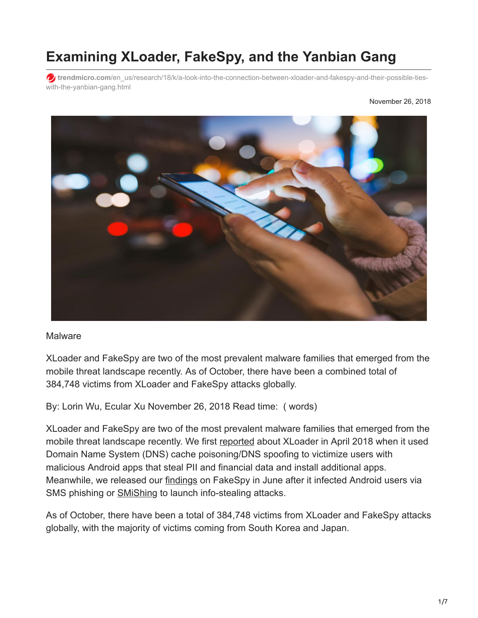## **Examining XLoader, FakeSpy, and the Yanbian Gang**

**trendmicro.com**[/en\\_us/research/18/k/a-look-into-the-connection-between-xloader-and-fakespy-and-their-possible-ties](https://www.trendmicro.com/en_us/research/18/k/a-look-into-the-connection-between-xloader-and-fakespy-and-their-possible-ties-with-the-yanbian-gang.html)with-the-yanbian-gang.html



## **Malware**

XLoader and FakeSpy are two of the most prevalent malware families that emerged from the mobile threat landscape recently. As of October, there have been a combined total of 384,748 victims from XLoader and FakeSpy attacks globally.

By: Lorin Wu, Ecular Xu November 26, 2018 Read time: ( words)

XLoader and FakeSpy are two of the most prevalent malware families that emerged from the mobile threat landscape recently. We first [reported](https://blog.trendmicro.com/trendlabs-security-intelligence/xloader-android-spyware-and-banking-trojan-distributed-via-dns-spoofing/) about XLoader in April 2018 when it used Domain Name System (DNS) cache poisoning/DNS spoofing to victimize users with malicious Android apps that steal PII and financial data and install additional apps. Meanwhile, we released our **[findings](https://blog.trendmicro.com/trendlabs-security-intelligence/fakespy-android-information-stealing-malware-targets-japanese-and-korean-speaking-users/)** on FakeSpy in June after it infected Android users via SMS phishing or [SMiShing](https://www.trendmicro.com/vinfo/us/security/definition/smishing) to launch info-stealing attacks.

As of October, there have been a total of 384,748 victims from XLoader and FakeSpy attacks globally, with the majority of victims coming from South Korea and Japan.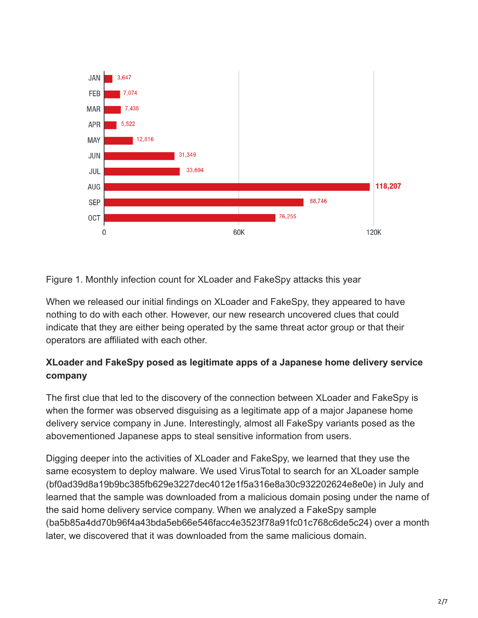

Figure 1. Monthly infection count for XLoader and FakeSpy attacks this year

When we released our initial findings on XLoader and FakeSpy, they appeared to have nothing to do with each other. However, our new research uncovered clues that could indicate that they are either being operated by the same threat actor group or that their operators are affiliated with each other.

## **XLoader and FakeSpy posed as legitimate apps of a Japanese home delivery service company**

The first clue that led to the discovery of the connection between XLoader and FakeSpy is when the former was observed disguising as a legitimate app of a major Japanese home delivery service company in June. Interestingly, almost all FakeSpy variants posed as the abovementioned Japanese apps to steal sensitive information from users.

Digging deeper into the activities of XLoader and FakeSpy, we learned that they use the same ecosystem to deploy malware. We used VirusTotal to search for an XLoader sample (bf0ad39d8a19b9bc385fb629e3227dec4012e1f5a316e8a30c932202624e8e0e) in July and learned that the sample was downloaded from a malicious domain posing under the name of the said home delivery service company. When we analyzed a FakeSpy sample (ba5b85a4dd70b96f4a43bda5eb66e546facc4e3523f78a91fc01c768c6de5c24) over a month later, we discovered that it was downloaded from the same malicious domain.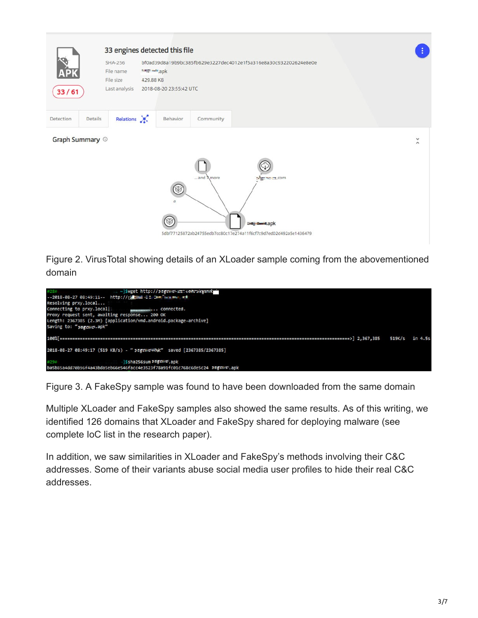

Figure 2. VirusTotal showing details of an XLoader sample coming from the abovementioned domain



Figure 3. A FakeSpy sample was found to have been downloaded from the same domain

Multiple XLoader and FakeSpy samples also showed the same results. As of this writing, we identified 126 domains that XLoader and FakeSpy shared for deploying malware (see complete IoC list in the research paper).

In addition, we saw similarities in XLoader and FakeSpy's methods involving their C&C addresses. Some of their variants abuse social media user profiles to hide their real C&C addresses.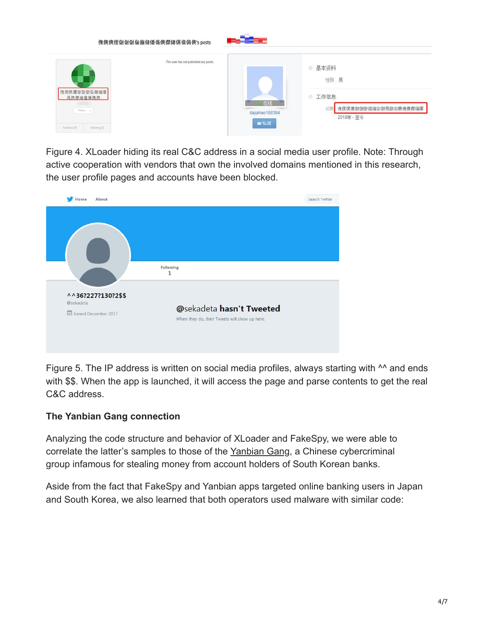

Figure 4. XLoader hiding its real C&C address in a social media user profile. Note: Through active cooperation with vendors that own the involved domains mentioned in this research, the user profile pages and accounts have been blocked.



Figure 5. The IP address is written on social media profiles, always starting with <sup>NA</sup> and ends with \$\$. When the app is launched, it will access the page and parse contents to get the real C&C address.

## **The Yanbian Gang connection**

Analyzing the code structure and behavior of XLoader and FakeSpy, we were able to correlate the latter's samples to those of the [Yanbian Gang](https://blog.trendmicro.com/trendlabs-security-intelligence/mobile-malware-gang-steals-millions-from-south-korean-users/), a Chinese cybercriminal group infamous for stealing money from account holders of South Korean banks.

Aside from the fact that FakeSpy and Yanbian apps targeted online banking users in Japan and South Korea, we also learned that both operators used malware with similar code: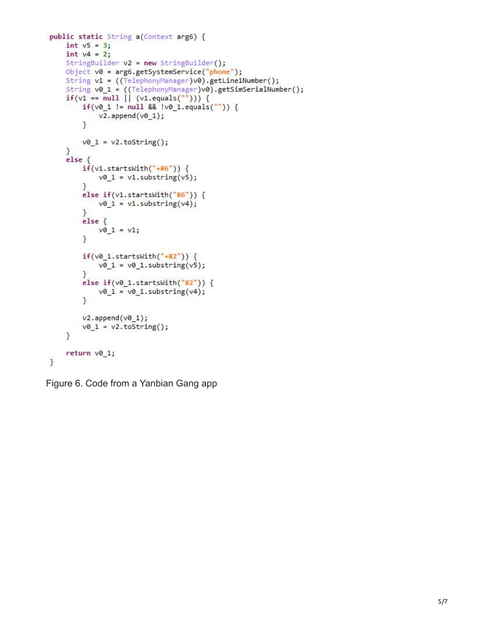```
public static String a(Context arg6) {
    int v5 = 3;int v4 = 2;StringBuilder v2 = new StringBuilder();
    Object v0 = arg6.getSystemService("phone");
    String v1 = ((TelephonyManager)v0).getLine1Number();
    String v0_1 = ((TelephonyManager)v0).getSimSerialNumber();
    if(v1 == null || (v1.equals(""))) {if(v@_1 != null & 8 & |v@_1.equals("")) {v2.append(v0_1);ŀ
        v0 1 = v2.toString();\mathbf{R}else <math>5</math>if(v1.startsWith("+86")) {v0_1 = v1.substring(v5);ł
        else if(v1.startsWith("86")) {
            v0 1 = v1.substring(v4);ŀ
        else {v0 1 = v1;ł
        if(v0_1.startsWith("+82")) {v0_1 = v0_1.substring(v5);}
        else if(v0_1.startsWith("82")) {
            v0_1 = v0_1.substring(v4);\mathbf{R}v2.append(v0_1);v0_1 = v2.toString();\mathcal{F}return v0_1;
\mathbf{R}
```
Figure 6. Code from a Yanbian Gang app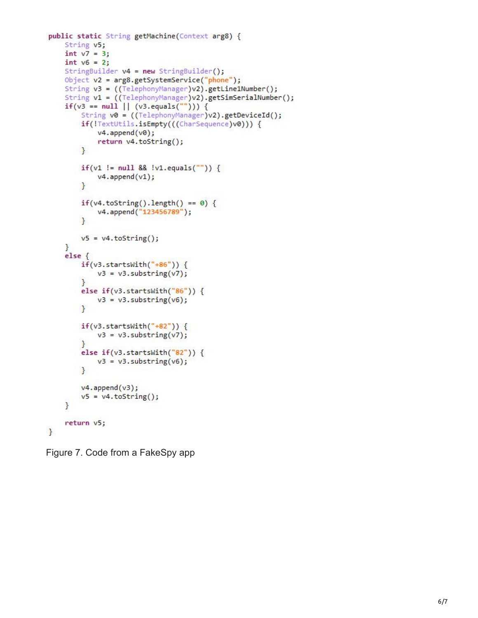```
public static String getMachine(Context arg8) {
    String v5;
    int v7 = 3;int v6 = 2;StringBuilder v4 = new StringBuilder();
    Object v2 = arg8.getSystemService("phone");
    String v3 = ((TelephonyManager)v2).getLine1Number();
    String v1 = ((TelephonyManager)v2).getSimSerialNumber();
    if(v3 == null || (v3.equals(""))) {
        String v0 = ((TelephonyManager)v2).getDeviceId();
        if(!TextUtils.isEmpty(((CharSequence)v0))) {
            v4.append(v0);
            return v4.toString();
        \mathcal{F}if(v1 != null 88 !v1.equals("")) {
            v4.append(v1);
        ł
        if(v4.toString().length() == 0) {
            v4.append("123456789");
        ł
        v5 = v4.toString();
    F
    else {
        if(v3.startsWith("+86")) {v3 = v3.substring(v7);J.
        else if(v3.startsWith("86")) {
            v3 = v3.substring(v6);ł
        if(v3. startsWith("+82")) {
            v3 = v3.substring(v7);ł
        else if(v3.startsWith("82")) {
            v3 = v3.substring(v6);}
        v4.append(v3);
        v5 = v4.toString();
    }
    return v5;
}
```
Figure 7. Code from a FakeSpy app